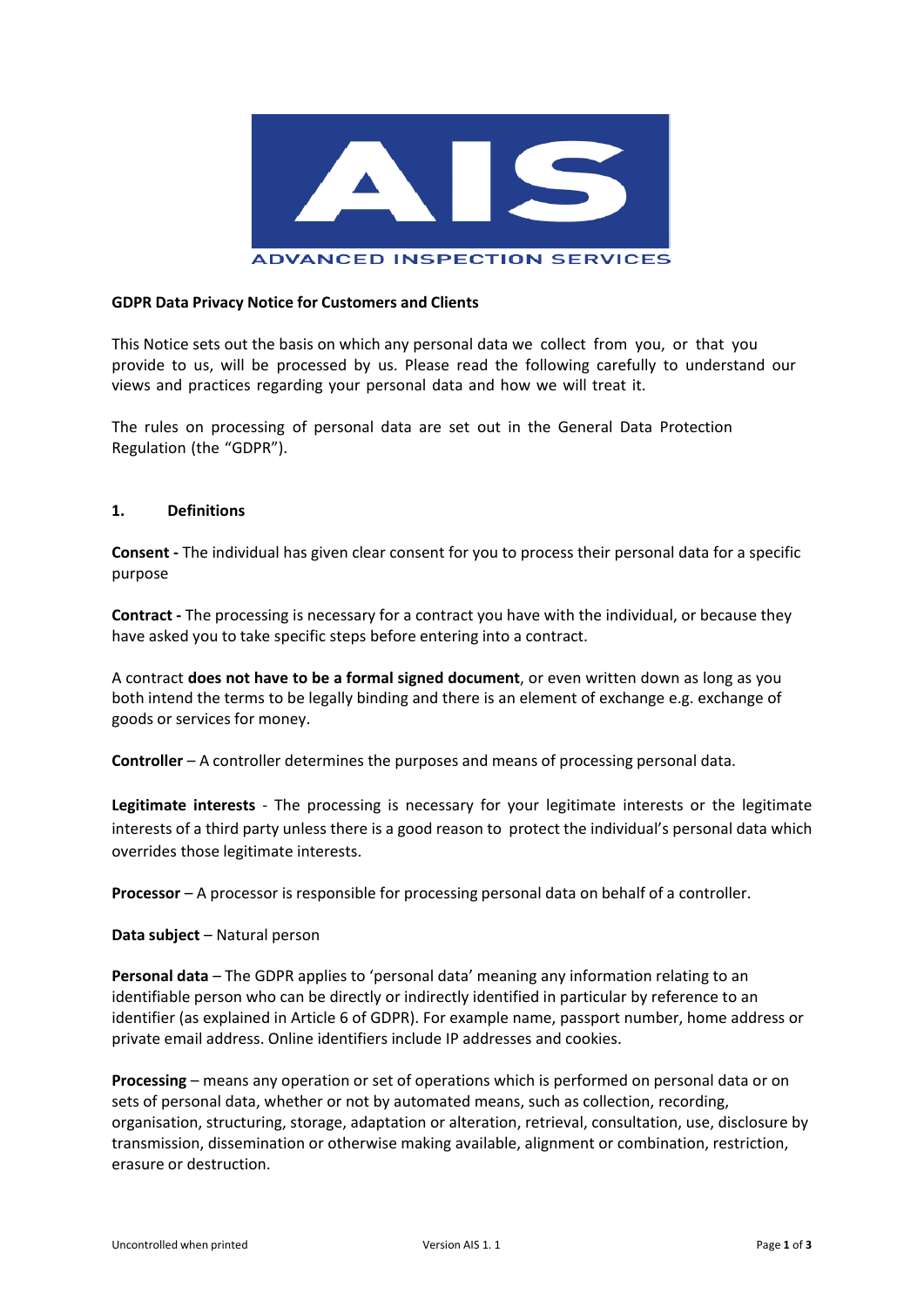

#### **ADVANCED INSPECTION SERVICES**

#### **GDPR Data Privacy Notice for Customers and Clients**

This Notice sets out the basis on which any personal data we collect from you, or that you provide to us, will be processed by us. Please read the following carefully to understand our views and practices regarding your personal data and how we will treat it.

The rules on processing of personal data are set out in the General Data Protection Regulation (the "GDPR").

#### **1. Definitions**

**Consent -** The individual has given clear consent for you to process their personal data for a specific purpose

**Contract -** The processing is necessary for a contract you have with the individual, or because they have asked you to take specific steps before entering into a contract.

A contract **does not have to be a formal signed document**, or even written down as long as you both intend the terms to be legally binding and there is an element of exchange e.g. exchange of goods or services for money.

**Controller** – A controller determines the purposes and means of processing personal data.

**Legitimate interests** - The processing is necessary for your legitimate interests or the legitimate interests of a third party unless there is a good reason to protect the individual's personal data which overrides those legitimate interests.

**Processor** – A processor is responsible for processing personal data on behalf of a controller.

**Data subject** – Natural person

**Personal data** – The GDPR applies to 'personal data' meaning any information relating to an identifiable person who can be directly or indirectly identified in particular by reference to an identifier (as explained in Article 6 of GDPR). For example name, passport number, home address or private email address. Online identifiers include IP addresses and cookies.

**Processing** – means any operation or set of operations which is performed on personal data or on sets of personal data, whether or not by automated means, such as collection, recording, organisation, structuring, storage, adaptation or alteration, retrieval, consultation, use, disclosure by transmission, dissemination or otherwise making available, alignment or combination, restriction, erasure or destruction.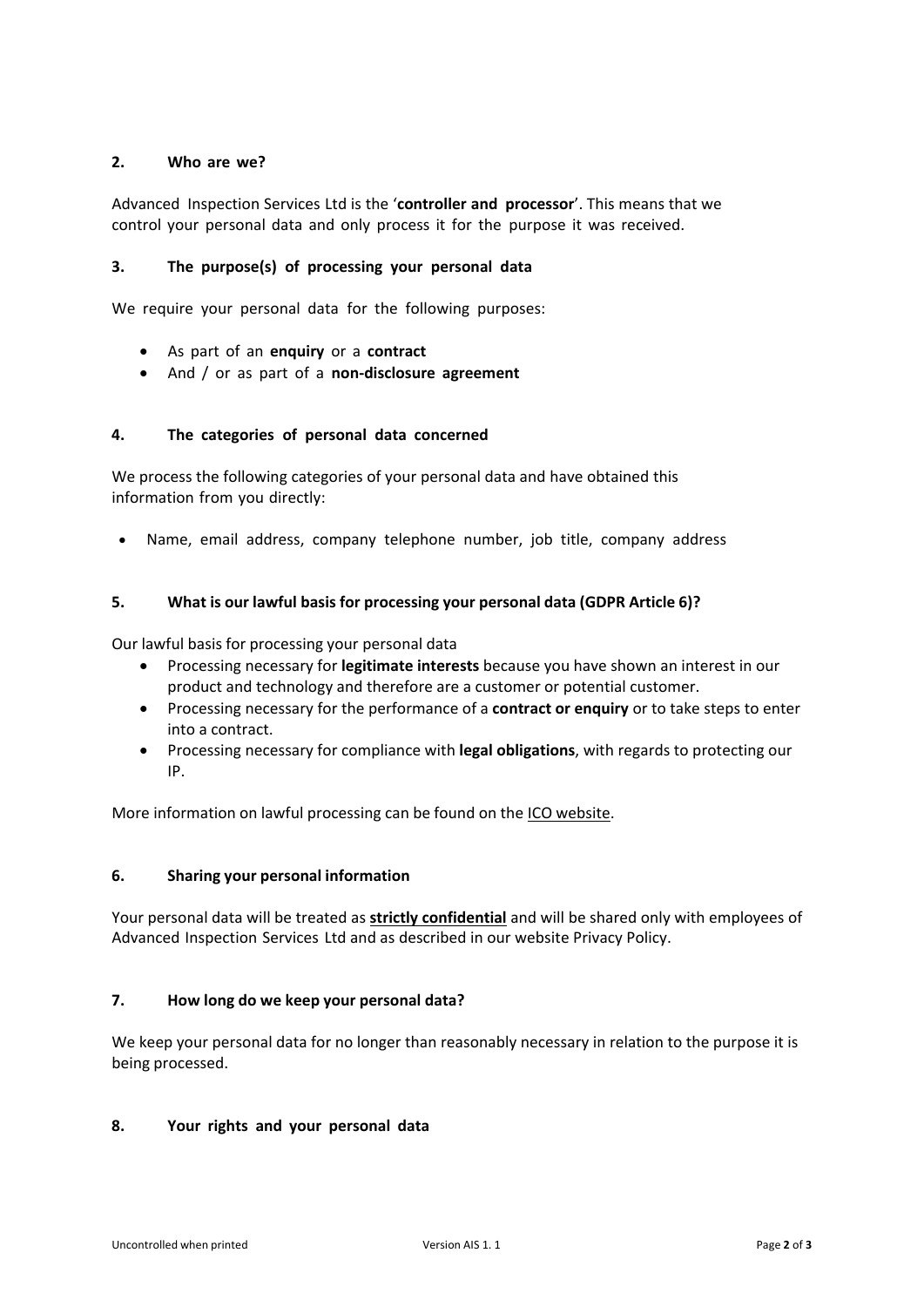## **2. Who are we?**

Advanced Inspection Services Ltd is the '**controller and processor**'. This means that we control your personal data and only process it for the purpose it was received.

## **3. The purpose(s) of processing your personal data**

We require your personal data for the following purposes:

- As part of an **enquiry** or a **contract**
- And / or as part of a **non-disclosure agreement**

## **4. The categories of personal data concerned**

We process the following categories of your personal data and have obtained this information from you directly:

• Name, email address, company telephone number, job title, company address

# **5. What is our lawful basis for processing your personal data (GDPR Article 6)?**

Our lawful basis for processing your personal data

- Processing necessary for **legitimate interests** because you have shown an interest in our product and technology and therefore are a customer or potential customer.
- Processing necessary for the performance of a **contract or enquiry** or to take steps to enter into a contract.
- Processing necessary for compliance with **legal obligations**, with regards to protecting our IP.

More information on lawful processing can be found on the [ICO website.](https://ico.org.uk/for-organisations/guide-to-the-general-data-protection-regulation-gdpr/lawful-basis-for-processing/)

## **6. Sharing your personal information**

Your personal data will be treated as **strictly confidential** and will be shared only with employees of Advanced Inspection Services Ltd and as described in our website Privacy Policy.

## **7. How long do we keep your personal data?**

We keep your personal data for no longer than reasonably necessary in relation to the purpose it is being processed.

## **8. Your rights and your personal data**